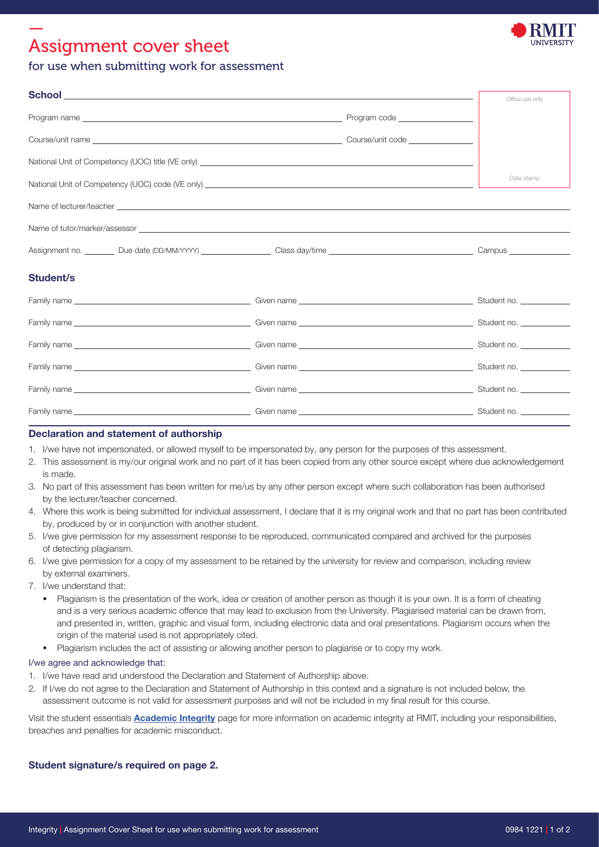# — Assignment cover sheet



## for use when submitting work for assessment

|                                                                                                                                                                                                                                |  | Office use only |
|--------------------------------------------------------------------------------------------------------------------------------------------------------------------------------------------------------------------------------|--|-----------------|
|                                                                                                                                                                                                                                |  |                 |
| Course/unit name Course contract to the Course of Course and Course contract of Course contract of Course and Course of Course and Course and Course of Course and Course and Course of Course and Course and Course of Course |  |                 |
|                                                                                                                                                                                                                                |  |                 |
|                                                                                                                                                                                                                                |  | Date stamp      |
| Name of lecturer/teacher contract the contract of the contract of the contract of the contract of the contract of the contract of the contract of the contract of the contract of the contract of the contract of the contract |  |                 |
| Name of tutor/marker/assessor experience to a state of the state of the state of tutor/marker/assessor                                                                                                                         |  |                 |
|                                                                                                                                                                                                                                |  |                 |
| Student/s                                                                                                                                                                                                                      |  |                 |
|                                                                                                                                                                                                                                |  |                 |
|                                                                                                                                                                                                                                |  |                 |
|                                                                                                                                                                                                                                |  |                 |
|                                                                                                                                                                                                                                |  |                 |
|                                                                                                                                                                                                                                |  |                 |
|                                                                                                                                                                                                                                |  |                 |

### Declaration and statement of authorship

- 1. I/we have not impersonated, or allowed myself to be impersonated by, any person for the purposes of this assessment.
- 2. This assessment is my/our original work and no part of it has been copied from any other source except where due acknowledgement is made.
- 3. No part of this assessment has been written for me/us by any other person except where such collaboration has been authorised by the lecturer/teacher concerned.
- 4. Where this work is being submitted for individual assessment, I declare that it is my original work and that no part has been contributed by, produced by or in conjunction with another student.
- 5. I/we give permission for my assessment response to be reproduced, communicated compared and archived for the purposes of detecting plagiarism.
- 6. I/we give permission for a copy of my assessment to be retained by the university for review and comparison, including review by external examiners.
- 7. I/we understand that:
	- Plagiarism is the presentation of the work, idea or creation of another person as though it is your own. It is a form of cheating and is a very serious academic offence that may lead to exclusion from the University. Plagiarised material can be drawn from, and presented in, written, graphic and visual form, including electronic data and oral presentations. Plagiarism occurs when the origin of the material used is not appropriately cited.
	- **Plagiarism includes the act of assisting or allowing another person to plagiarise or to copy my work.**

#### I/we agree and acknowledge that:

- 1. I/we have read and understood the Declaration and Statement of Authorship above.
- 2. If I/we do not agree to the Declaration and Statement of Authorship in this context and a signature is not included below, the assessment outcome is not valid for assessment purposes and will not be included in my final result for this course.

Visit the student essentials **[Academic Integrity](https://www.rmit.edu.au/students/student-essentials/assessment-and-results/academic-integrity)** page for more information on academic integrity at RMIT, including your responsibilities, breaches and penalties for academic misconduct.

### Student signature/s required on page 2.